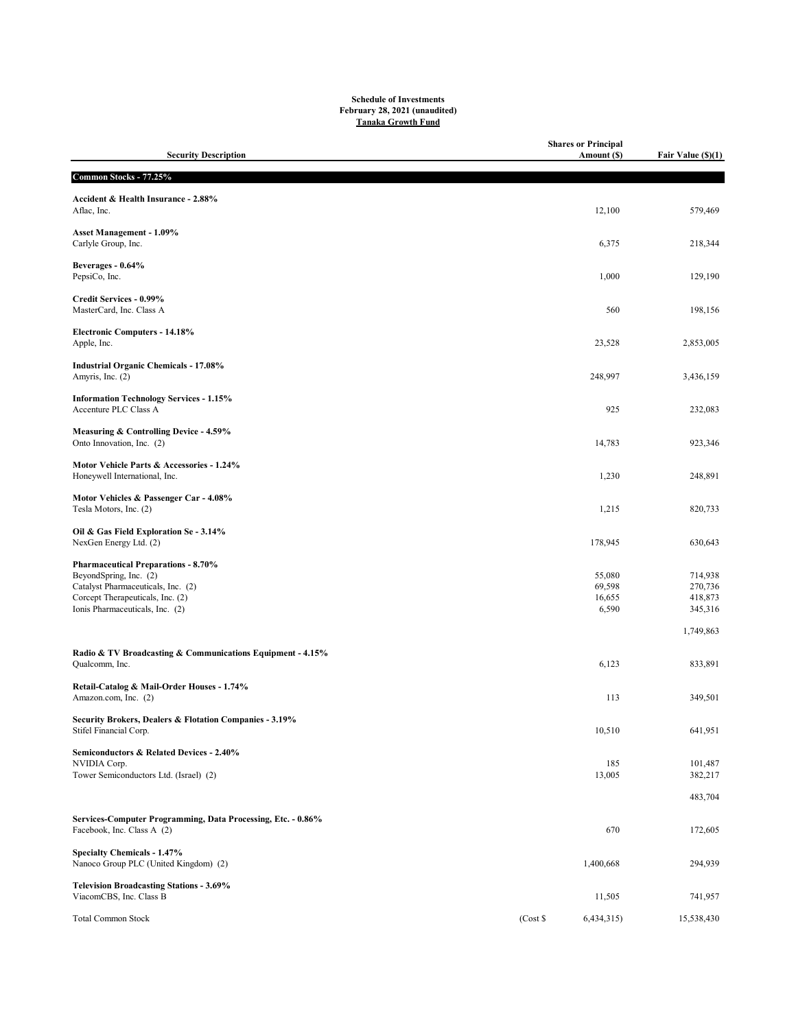## Schedule of Investments February 28, 2021 (unaudited) Tanaka Growth Fund

| <b>Security Description</b>                                                       |       | <b>Shares or Principal</b><br>Amount (\$) | Fair Value (\$)(1) |
|-----------------------------------------------------------------------------------|-------|-------------------------------------------|--------------------|
| Common Stocks - 77.25%                                                            |       |                                           |                    |
| Accident & Health Insurance - 2.88%<br>Aflac, Inc.                                |       | 12,100                                    | 579,469            |
| <b>Asset Management - 1.09%</b><br>Carlyle Group, Inc.                            |       | 6,375                                     | 218,344            |
| Beverages - 0.64%<br>PepsiCo, Inc.                                                |       | 1,000                                     | 129,190            |
| Credit Services - 0.99%<br>MasterCard, Inc. Class A                               |       | 560                                       | 198,156            |
| <b>Electronic Computers - 14.18%</b><br>Apple, Inc.                               |       | 23,528                                    | 2,853,005          |
| <b>Industrial Organic Chemicals - 17.08%</b><br>Amyris, Inc. (2)                  |       | 248,997                                   | 3,436,159          |
| <b>Information Technology Services - 1.15%</b><br>Accenture PLC Class A           |       | 925                                       | 232,083            |
| Measuring & Controlling Device - 4.59%<br>Onto Innovation, Inc. (2)               |       | 14,783                                    | 923,346            |
| Motor Vehicle Parts & Accessories - 1.24%<br>Honeywell International, Inc.        |       | 1,230                                     | 248,891            |
| Motor Vehicles & Passenger Car - 4.08%<br>Tesla Motors, Inc. (2)                  |       | 1,215                                     | 820,733            |
| Oil & Gas Field Exploration Se - 3.14%<br>NexGen Energy Ltd. (2)                  |       | 178,945                                   | 630,643            |
| <b>Pharmaceutical Preparations - 8.70%</b><br>BeyondSpring, Inc. (2)              |       | 55,080                                    | 714,938            |
| Catalyst Pharmaceuticals, Inc. (2)                                                |       | 69,598                                    | 270,736            |
| Corcept Therapeuticals, Inc. (2)<br>Ionis Pharmaceuticals, Inc. (2)               |       | 16,655<br>6,590                           | 418,873<br>345,316 |
|                                                                                   |       |                                           | 1,749,863          |
| Radio & TV Broadcasting & Communications Equipment - 4.15%                        |       |                                           |                    |
| Qualcomm, Inc.                                                                    |       | 6,123                                     | 833,891            |
| Retail-Catalog & Mail-Order Houses - 1.74%<br>Amazon.com, Inc. (2)                |       | 113                                       | 349,501            |
| Security Brokers, Dealers & Flotation Companies - 3.19%<br>Stifel Financial Corp. |       | 10,510                                    | 641,951            |
| Semiconductors & Related Devices - 2.40%                                          |       |                                           |                    |
| NVIDIA Corp.<br>Tower Semiconductors Ltd. (Israel) (2)                            |       | 185<br>13,005                             | 101,487<br>382,217 |
|                                                                                   |       |                                           | 483,704            |
| Services-Computer Programming, Data Processing, Etc. - 0.86%                      |       |                                           |                    |
| Facebook, Inc. Class A (2)                                                        |       | 670                                       | 172,605            |
| <b>Specialty Chemicals - 1.47%</b><br>Nanoco Group PLC (United Kingdom) (2)       |       | 1,400,668                                 | 294,939            |
| <b>Television Broadcasting Stations - 3.69%</b><br>ViacomCBS, Inc. Class B        |       | 11,505                                    | 741,957            |
| <b>Total Common Stock</b>                                                         | (Cost | 6,434,315)                                | 15,538,430         |